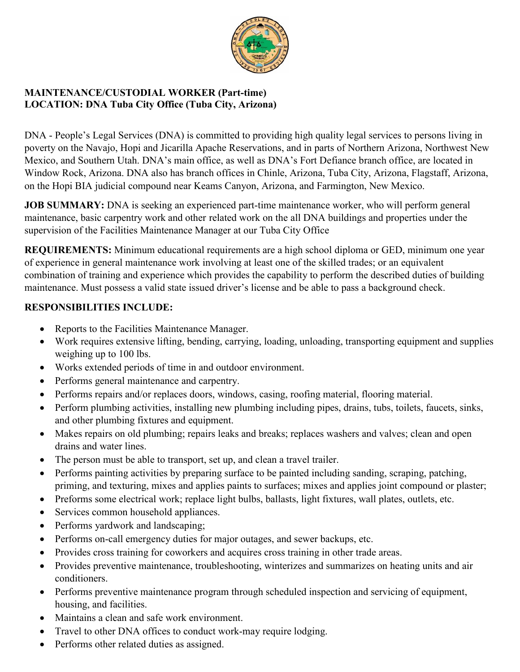

## **MAINTENANCE/CUSTODIAL WORKER (Part-time) LOCATION: DNA Tuba City Office (Tuba City, Arizona)**

DNA - People's Legal Services (DNA) is committed to providing high quality legal services to persons living in poverty on the Navajo, Hopi and Jicarilla Apache Reservations, and in parts of Northern Arizona, Northwest New Mexico, and Southern Utah. DNA's main office, as well as DNA's Fort Defiance branch office, are located in Window Rock, Arizona. DNA also has branch offices in Chinle, Arizona, Tuba City, Arizona, Flagstaff, Arizona, on the Hopi BIA judicial compound near Keams Canyon, Arizona, and Farmington, New Mexico.

**JOB SUMMARY:** DNA is seeking an experienced part-time maintenance worker, who will perform general maintenance, basic carpentry work and other related work on the all DNA buildings and properties under the supervision of the Facilities Maintenance Manager at our Tuba City Office

**REQUIREMENTS:** Minimum educational requirements are a high school diploma or GED, minimum one year of experience in general maintenance work involving at least one of the skilled trades; or an equivalent combination of training and experience which provides the capability to perform the described duties of building maintenance. Must possess a valid state issued driver's license and be able to pass a background check.

## **RESPONSIBILITIES INCLUDE:**

- Reports to the Facilities Maintenance Manager.
- Work requires extensive lifting, bending, carrying, loading, unloading, transporting equipment and supplies weighing up to 100 lbs.
- Works extended periods of time in and outdoor environment.
- Performs general maintenance and carpentry.
- Performs repairs and/or replaces doors, windows, casing, roofing material, flooring material.
- Perform plumbing activities, installing new plumbing including pipes, drains, tubs, toilets, faucets, sinks, and other plumbing fixtures and equipment.
- Makes repairs on old plumbing; repairs leaks and breaks; replaces washers and valves; clean and open drains and water lines.
- The person must be able to transport, set up, and clean a travel trailer.
- Performs painting activities by preparing surface to be painted including sanding, scraping, patching, priming, and texturing, mixes and applies paints to surfaces; mixes and applies joint compound or plaster;
- Preforms some electrical work; replace light bulbs, ballasts, light fixtures, wall plates, outlets, etc.
- Services common household appliances.
- Performs yardwork and landscaping;
- Performs on-call emergency duties for major outages, and sewer backups, etc.
- Provides cross training for coworkers and acquires cross training in other trade areas.
- Provides preventive maintenance, troubleshooting, winterizes and summarizes on heating units and air conditioners.
- Performs preventive maintenance program through scheduled inspection and servicing of equipment, housing, and facilities.
- Maintains a clean and safe work environment.
- Travel to other DNA offices to conduct work-may require lodging.
- Performs other related duties as assigned.